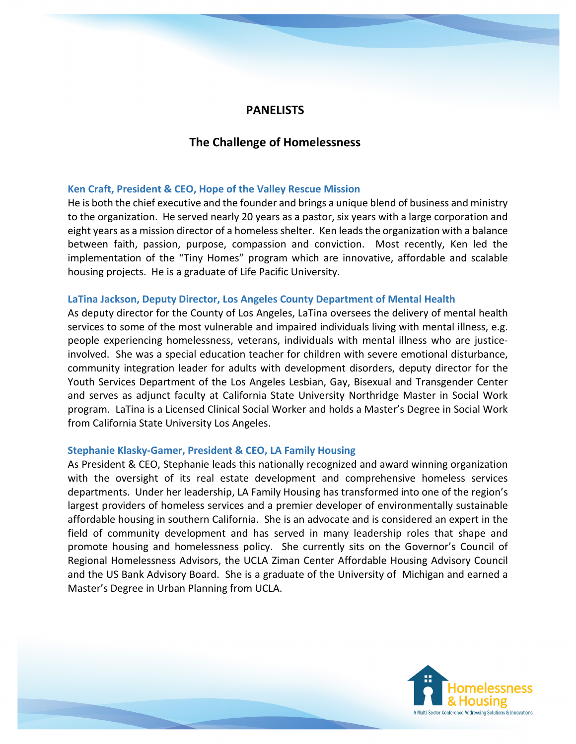# **PANELISTS**

# **The Challenge of Homelessness**

## **Ken Craft, President & CEO, Hope of the Valley Rescue Mission**

He is both the chief executive and the founder and brings a unique blend of business and ministry to the organization. He served nearly 20 years as a pastor, six years with a large corporation and eight years as a mission director of a homeless shelter. Ken leads the organization with a balance between faith, passion, purpose, compassion and conviction. Most recently, Ken led the implementation of the "Tiny Homes" program which are innovative, affordable and scalable housing projects. He is a graduate of Life Pacific University.

#### **LaTina Jackson, Deputy Director, Los Angeles County Department of Mental Health**

As deputy director for the County of Los Angeles, LaTina oversees the delivery of mental health services to some of the most vulnerable and impaired individuals living with mental illness, e.g. people experiencing homelessness, veterans, individuals with mental illness who are justiceinvolved. She was a special education teacher for children with severe emotional disturbance, community integration leader for adults with development disorders, deputy director for the Youth Services Department of the Los Angeles Lesbian, Gay, Bisexual and Transgender Center and serves as adjunct faculty at California State University Northridge Master in Social Work program. LaTina is a Licensed Clinical Social Worker and holds a Master's Degree in Social Work from California State University Los Angeles.

## **Stephanie Klasky-Gamer, President & CEO, LA Family Housing**

As President & CEO, Stephanie leads this nationally recognized and award winning organization with the oversight of its real estate development and comprehensive homeless services departments. Under her leadership, LA Family Housing has transformed into one of the region's largest providers of homeless services and a premier developer of environmentally sustainable affordable housing in southern California. She is an advocate and is considered an expert in the field of community development and has served in many leadership roles that shape and promote housing and homelessness policy. She currently sits on the Governor's Council of Regional Homelessness Advisors, the UCLA Ziman Center Affordable Housing Advisory Council and the US Bank Advisory Board. She is a graduate of the University of Michigan and earned a Master's Degree in Urban Planning from UCLA.